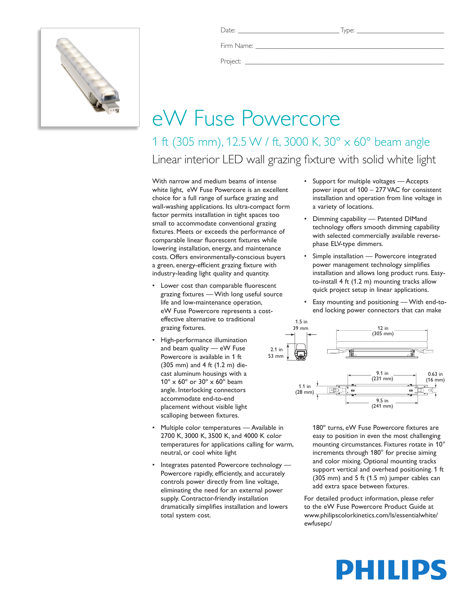

Date: \_\_\_\_\_\_\_\_\_\_\_\_\_\_\_\_\_\_\_\_\_\_\_\_\_\_\_\_\_ Type: \_\_\_\_\_\_\_\_\_\_\_\_\_\_\_\_\_\_\_\_\_\_\_\_\_

Firm Name:

Project: \_\_\_\_\_\_\_\_\_\_\_\_\_\_\_\_\_\_\_\_\_\_\_\_\_\_\_\_\_\_\_\_\_\_\_\_\_\_\_\_\_\_\_\_\_\_\_\_\_\_\_\_\_\_\_\_\_

## eW Fuse Powercore

1 ft (305 mm), 12.5 W / ft, 3000 K, 30° x 60° beam angle Linear interior LED wall grazing fixture with solid white light

With narrow and medium beams of intense white light, eW Fuse Powercore is an excellent choice for a full range of surface grazing and wall-washing applications. Its ultra-compact form factor permits installation in tight spaces too small to accommodate conventional grazing fixtures. Meets or exceeds the performance of comparable linear fluorescent fixtures while lowering installation, energy, and maintenance costs. Offers environmentally-conscious buyers a green, energy-efficient grazing fixture with industry-leading light quality and quantity.

- Lower cost than comparable fluorescent grazing fixtures — With long useful source life and low-maintenance operation, eW Fuse Powercore represents a costeffective alternative to traditional grazing fixtures.
- High-performance illumination and beam quality — eW Fuse Powercore is available in 1 ft (305 mm) and 4 ft (1.2 m) diecast aluminum housings with a 10º x 60º or 30º x 60º beam angle. Interlocking connectors accommodate end-to-end placement without visible light scalloping between fixtures.
- Multiple color temperatures Available in 2700 K, 3000 K, 3500 K, and 4000 K color temperatures for applications calling for warm, neutral, or cool white light
- Integrates patented Powercore technology -Powercore rapidly, efficiently, and accurately controls power directly from line voltage, eliminating the need for an external power supply. Contractor-friendly installation dramatically simplifies installation and lowers total system cost.
- • Support for multiple voltages Accepts power input of 100 – 277 VAC for consistent installation and operation from line voltage in a variety of locations.
- • Dimming capability Patented DIMand technology offers smooth dimming capability with selected commercially available reversephase ELV-type dimmers.
- Simple installation Powercore integrated power management technology simplifies installation and allows long product runs. Easyto-install 4 ft (1.2 m) mounting tracks allow quick project setup in linear applications.
- Easy mounting and positioning With end-toend locking power connectors that can make



180º turns, eW Fuse Powercore fixtures are easy to position in even the most challenging mounting circumstances. Fixtures rotate in 10° increments through 180° for precise aiming and color mixing. Optional mounting tracks support vertical and overhead positioning. 1 ft (305 mm) and 5 ft (1.5 m) jumper cables can add extra space between fixtures.

For detailed product information, please refer to the eW Fuse Powercore Product Guide at www.philipscolorkinetics.com/ls/essentialwhite/ ewfusepc/

# PHILIPS